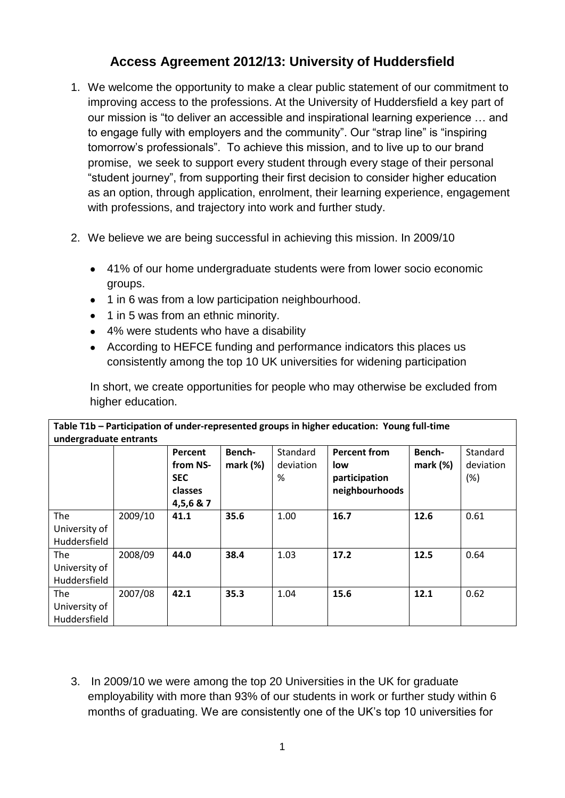# **Access Agreement 2012/13: University of Huddersfield**

- 1. We welcome the opportunity to make a clear public statement of our commitment to improving access to the professions. At the University of Huddersfield a key part of our mission is "to deliver an accessible and inspirational learning experience … and to engage fully with employers and the community". Our "strap line" is "inspiring tomorrow"s professionals". To achieve this mission, and to live up to our brand promise, we seek to support every student through every stage of their personal "student journey", from supporting their first decision to consider higher education as an option, through application, enrolment, their learning experience, engagement with professions, and trajectory into work and further study.
- 2. We believe we are being successful in achieving this mission. In 2009/10
	- 41% of our home undergraduate students were from lower socio economic groups.
	- 1 in 6 was from a low participation neighbourhood.
	- 1 in 5 was from an ethnic minority.
	- 4% were students who have a disability
	- According to HEFCE funding and performance indicators this places us consistently among the top 10 UK universities for widening participation

In short, we create opportunities for people who may otherwise be excluded from higher education.

| Table T1b – Participation of under-represented groups in higher education: Young full-time<br>undergraduate entrants |         |                                                           |                    |                                   |                                                               |                       |                                     |
|----------------------------------------------------------------------------------------------------------------------|---------|-----------------------------------------------------------|--------------------|-----------------------------------|---------------------------------------------------------------|-----------------------|-------------------------------------|
|                                                                                                                      |         | Percent<br>from NS-<br><b>SEC</b><br>classes<br>4,5,6 & 7 | Bench-<br>mark (%) | <b>Standard</b><br>deviation<br>% | <b>Percent from</b><br>low<br>participation<br>neighbourhoods | Bench-<br>$mark (\%)$ | <b>Standard</b><br>deviation<br>(%) |
| The                                                                                                                  | 2009/10 | 41.1                                                      | 35.6               | 1.00                              | 16.7                                                          | 12.6                  | 0.61                                |
| University of                                                                                                        |         |                                                           |                    |                                   |                                                               |                       |                                     |
| Huddersfield                                                                                                         |         |                                                           |                    |                                   |                                                               |                       |                                     |
| The                                                                                                                  | 2008/09 | 44.0                                                      | 38.4               | 1.03                              | 17.2                                                          | 12.5                  | 0.64                                |
| University of                                                                                                        |         |                                                           |                    |                                   |                                                               |                       |                                     |
| Huddersfield                                                                                                         |         |                                                           |                    |                                   |                                                               |                       |                                     |
| The                                                                                                                  | 2007/08 | 42.1                                                      | 35.3               | 1.04                              | 15.6                                                          | 12.1                  | 0.62                                |
| University of                                                                                                        |         |                                                           |                    |                                   |                                                               |                       |                                     |
| Huddersfield                                                                                                         |         |                                                           |                    |                                   |                                                               |                       |                                     |

3. In 2009/10 we were among the top 20 Universities in the UK for graduate employability with more than 93% of our students in work or further study within 6 months of graduating. We are consistently one of the UK"s top 10 universities for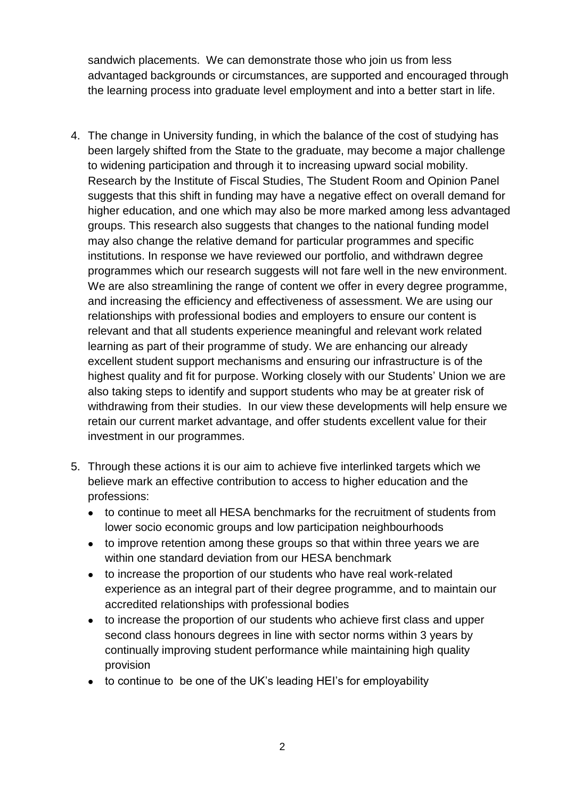sandwich placements. We can demonstrate those who join us from less advantaged backgrounds or circumstances, are supported and encouraged through the learning process into graduate level employment and into a better start in life.

- 4. The change in University funding, in which the balance of the cost of studying has been largely shifted from the State to the graduate, may become a major challenge to widening participation and through it to increasing upward social mobility. Research by the Institute of Fiscal Studies, The Student Room and Opinion Panel suggests that this shift in funding may have a negative effect on overall demand for higher education, and one which may also be more marked among less advantaged groups. This research also suggests that changes to the national funding model may also change the relative demand for particular programmes and specific institutions. In response we have reviewed our portfolio, and withdrawn degree programmes which our research suggests will not fare well in the new environment. We are also streamlining the range of content we offer in every degree programme, and increasing the efficiency and effectiveness of assessment. We are using our relationships with professional bodies and employers to ensure our content is relevant and that all students experience meaningful and relevant work related learning as part of their programme of study. We are enhancing our already excellent student support mechanisms and ensuring our infrastructure is of the highest quality and fit for purpose. Working closely with our Students' Union we are also taking steps to identify and support students who may be at greater risk of withdrawing from their studies. In our view these developments will help ensure we retain our current market advantage, and offer students excellent value for their investment in our programmes.
- 5. Through these actions it is our aim to achieve five interlinked targets which we believe mark an effective contribution to access to higher education and the professions:
	- to continue to meet all HESA benchmarks for the recruitment of students from lower socio economic groups and low participation neighbourhoods
	- to improve retention among these groups so that within three years we are within one standard deviation from our HESA benchmark
	- to increase the proportion of our students who have real work-related experience as an integral part of their degree programme, and to maintain our accredited relationships with professional bodies
	- to increase the proportion of our students who achieve first class and upper  $\bullet$ second class honours degrees in line with sector norms within 3 years by continually improving student performance while maintaining high quality provision
	- to continue to be one of the UK"s leading HEI"s for employability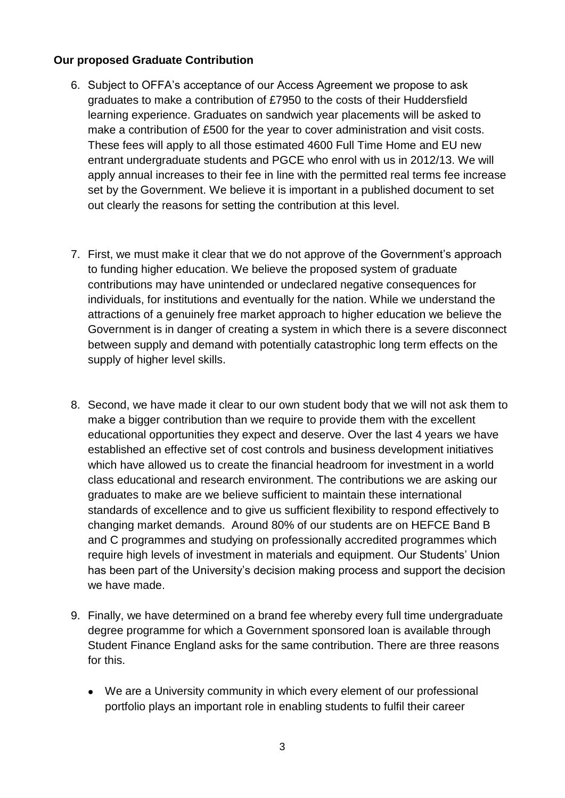### **Our proposed Graduate Contribution**

- 6. Subject to OFFA"s acceptance of our Access Agreement we propose to ask graduates to make a contribution of £7950 to the costs of their Huddersfield learning experience. Graduates on sandwich year placements will be asked to make a contribution of £500 for the year to cover administration and visit costs. These fees will apply to all those estimated 4600 Full Time Home and EU new entrant undergraduate students and PGCE who enrol with us in 2012/13. We will apply annual increases to their fee in line with the permitted real terms fee increase set by the Government. We believe it is important in a published document to set out clearly the reasons for setting the contribution at this level.
- 7. First, we must make it clear that we do not approve of the Government"s approach to funding higher education. We believe the proposed system of graduate contributions may have unintended or undeclared negative consequences for individuals, for institutions and eventually for the nation. While we understand the attractions of a genuinely free market approach to higher education we believe the Government is in danger of creating a system in which there is a severe disconnect between supply and demand with potentially catastrophic long term effects on the supply of higher level skills.
- 8. Second, we have made it clear to our own student body that we will not ask them to make a bigger contribution than we require to provide them with the excellent educational opportunities they expect and deserve. Over the last 4 years we have established an effective set of cost controls and business development initiatives which have allowed us to create the financial headroom for investment in a world class educational and research environment. The contributions we are asking our graduates to make are we believe sufficient to maintain these international standards of excellence and to give us sufficient flexibility to respond effectively to changing market demands. Around 80% of our students are on HEFCE Band B and C programmes and studying on professionally accredited programmes which require high levels of investment in materials and equipment. Our Students" Union has been part of the University"s decision making process and support the decision we have made.
- 9. Finally, we have determined on a brand fee whereby every full time undergraduate degree programme for which a Government sponsored loan is available through Student Finance England asks for the same contribution. There are three reasons for this.
	- We are a University community in which every element of our professional portfolio plays an important role in enabling students to fulfil their career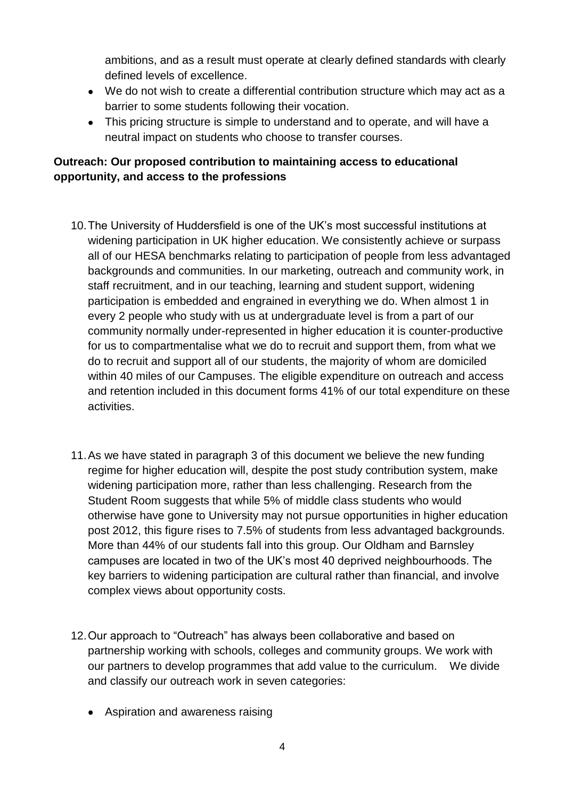ambitions, and as a result must operate at clearly defined standards with clearly defined levels of excellence.

- We do not wish to create a differential contribution structure which may act as a barrier to some students following their vocation.
- This pricing structure is simple to understand and to operate, and will have a neutral impact on students who choose to transfer courses.

# **Outreach: Our proposed contribution to maintaining access to educational opportunity, and access to the professions**

- 10.The University of Huddersfield is one of the UK"s most successful institutions at widening participation in UK higher education. We consistently achieve or surpass all of our HESA benchmarks relating to participation of people from less advantaged backgrounds and communities. In our marketing, outreach and community work, in staff recruitment, and in our teaching, learning and student support, widening participation is embedded and engrained in everything we do. When almost 1 in every 2 people who study with us at undergraduate level is from a part of our community normally under-represented in higher education it is counter-productive for us to compartmentalise what we do to recruit and support them, from what we do to recruit and support all of our students, the majority of whom are domiciled within 40 miles of our Campuses. The eligible expenditure on outreach and access and retention included in this document forms 41% of our total expenditure on these activities.
- 11.As we have stated in paragraph 3 of this document we believe the new funding regime for higher education will, despite the post study contribution system, make widening participation more, rather than less challenging. Research from the Student Room suggests that while 5% of middle class students who would otherwise have gone to University may not pursue opportunities in higher education post 2012, this figure rises to 7.5% of students from less advantaged backgrounds. More than 44% of our students fall into this group. Our Oldham and Barnsley campuses are located in two of the UK"s most 40 deprived neighbourhoods. The key barriers to widening participation are cultural rather than financial, and involve complex views about opportunity costs.
- 12.Our approach to "Outreach" has always been collaborative and based on partnership working with schools, colleges and community groups. We work with our partners to develop programmes that add value to the curriculum. We divide and classify our outreach work in seven categories:
	- Aspiration and awareness raising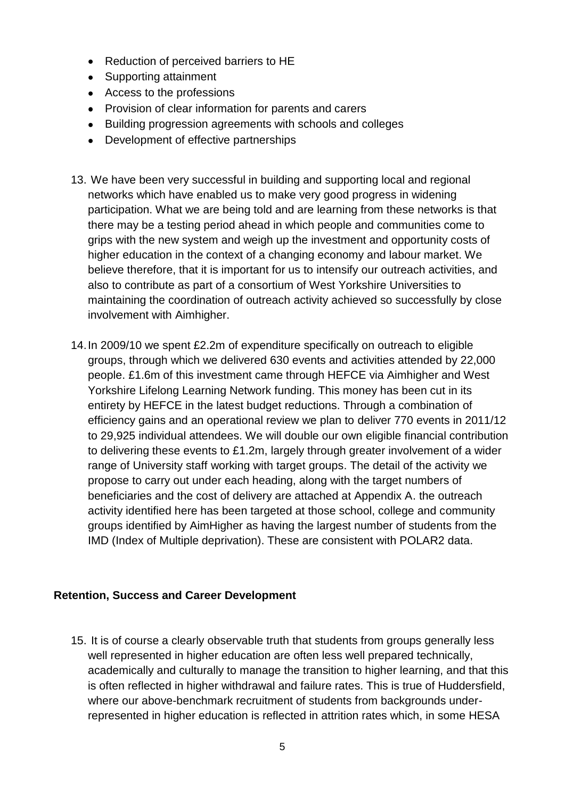- Reduction of perceived barriers to HE
- Supporting attainment
- Access to the professions
- Provision of clear information for parents and carers
- Building progression agreements with schools and colleges
- Development of effective partnerships
- 13. We have been very successful in building and supporting local and regional networks which have enabled us to make very good progress in widening participation. What we are being told and are learning from these networks is that there may be a testing period ahead in which people and communities come to grips with the new system and weigh up the investment and opportunity costs of higher education in the context of a changing economy and labour market. We believe therefore, that it is important for us to intensify our outreach activities, and also to contribute as part of a consortium of West Yorkshire Universities to maintaining the coordination of outreach activity achieved so successfully by close involvement with Aimhigher.
- 14.In 2009/10 we spent £2.2m of expenditure specifically on outreach to eligible groups, through which we delivered 630 events and activities attended by 22,000 people. £1.6m of this investment came through HEFCE via Aimhigher and West Yorkshire Lifelong Learning Network funding. This money has been cut in its entirety by HEFCE in the latest budget reductions. Through a combination of efficiency gains and an operational review we plan to deliver 770 events in 2011/12 to 29,925 individual attendees. We will double our own eligible financial contribution to delivering these events to £1.2m, largely through greater involvement of a wider range of University staff working with target groups. The detail of the activity we propose to carry out under each heading, along with the target numbers of beneficiaries and the cost of delivery are attached at Appendix A. the outreach activity identified here has been targeted at those school, college and community groups identified by AimHigher as having the largest number of students from the IMD (Index of Multiple deprivation). These are consistent with POLAR2 data.

### **Retention, Success and Career Development**

15. It is of course a clearly observable truth that students from groups generally less well represented in higher education are often less well prepared technically, academically and culturally to manage the transition to higher learning, and that this is often reflected in higher withdrawal and failure rates. This is true of Huddersfield, where our above-benchmark recruitment of students from backgrounds underrepresented in higher education is reflected in attrition rates which, in some HESA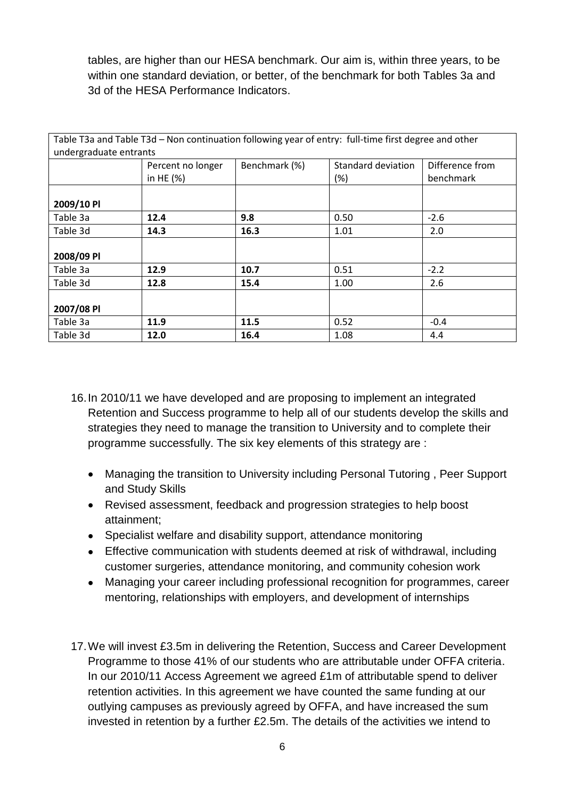tables, are higher than our HESA benchmark. Our aim is, within three years, to be within one standard deviation, or better, of the benchmark for both Tables 3a and 3d of the HESA Performance Indicators.

|                        |                   |               | Table T3a and Table T3d - Non continuation following year of entry: full-time first degree and other |                 |
|------------------------|-------------------|---------------|------------------------------------------------------------------------------------------------------|-----------------|
| undergraduate entrants |                   |               |                                                                                                      |                 |
|                        | Percent no longer | Benchmark (%) | Standard deviation                                                                                   | Difference from |
|                        | in HE $(%)$       |               | (%)                                                                                                  | benchmark       |
|                        |                   |               |                                                                                                      |                 |
| 2009/10 PI             |                   |               |                                                                                                      |                 |
| Table 3a               | 12.4              | 9.8           | 0.50                                                                                                 | $-2.6$          |
| Table 3d               | 14.3              | 16.3          | 1.01                                                                                                 | 2.0             |
|                        |                   |               |                                                                                                      |                 |
| 2008/09 PI             |                   |               |                                                                                                      |                 |
| Table 3a               | 12.9              | 10.7          | 0.51                                                                                                 | $-2.2$          |
| Table 3d               | 12.8              | 15.4          | 1.00                                                                                                 | 2.6             |
|                        |                   |               |                                                                                                      |                 |
| 2007/08 Pl             |                   |               |                                                                                                      |                 |
| Table 3a               | 11.9              | 11.5          | 0.52                                                                                                 | $-0.4$          |
| Table 3d               | 12.0              | 16.4          | 1.08                                                                                                 | 4.4             |

16.In 2010/11 we have developed and are proposing to implement an integrated Retention and Success programme to help all of our students develop the skills and strategies they need to manage the transition to University and to complete their programme successfully. The six key elements of this strategy are :

- Managing the transition to University including Personal Tutoring , Peer Support  $\bullet$ and Study Skills
- Revised assessment, feedback and progression strategies to help boost attainment;
- Specialist welfare and disability support, attendance monitoring
- Effective communication with students deemed at risk of withdrawal, including customer surgeries, attendance monitoring, and community cohesion work
- Managing your career including professional recognition for programmes, career  $\bullet$ mentoring, relationships with employers, and development of internships
- 17.We will invest £3.5m in delivering the Retention, Success and Career Development Programme to those 41% of our students who are attributable under OFFA criteria. In our 2010/11 Access Agreement we agreed £1m of attributable spend to deliver retention activities. In this agreement we have counted the same funding at our outlying campuses as previously agreed by OFFA, and have increased the sum invested in retention by a further £2.5m. The details of the activities we intend to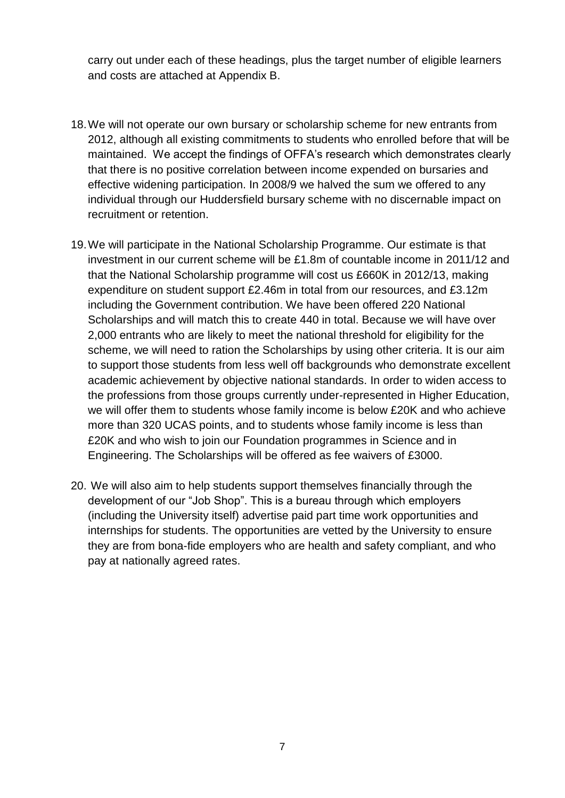carry out under each of these headings, plus the target number of eligible learners and costs are attached at Appendix B.

- 18.We will not operate our own bursary or scholarship scheme for new entrants from 2012, although all existing commitments to students who enrolled before that will be maintained. We accept the findings of OFFA"s research which demonstrates clearly that there is no positive correlation between income expended on bursaries and effective widening participation. In 2008/9 we halved the sum we offered to any individual through our Huddersfield bursary scheme with no discernable impact on recruitment or retention.
- 19.We will participate in the National Scholarship Programme. Our estimate is that investment in our current scheme will be £1.8m of countable income in 2011/12 and that the National Scholarship programme will cost us £660K in 2012/13, making expenditure on student support £2.46m in total from our resources, and £3.12m including the Government contribution. We have been offered 220 National Scholarships and will match this to create 440 in total. Because we will have over 2,000 entrants who are likely to meet the national threshold for eligibility for the scheme, we will need to ration the Scholarships by using other criteria. It is our aim to support those students from less well off backgrounds who demonstrate excellent academic achievement by objective national standards. In order to widen access to the professions from those groups currently under-represented in Higher Education, we will offer them to students whose family income is below £20K and who achieve more than 320 UCAS points, and to students whose family income is less than £20K and who wish to join our Foundation programmes in Science and in Engineering. The Scholarships will be offered as fee waivers of £3000.
- 20. We will also aim to help students support themselves financially through the development of our "Job Shop". This is a bureau through which employers (including the University itself) advertise paid part time work opportunities and internships for students. The opportunities are vetted by the University to ensure they are from bona-fide employers who are health and safety compliant, and who pay at nationally agreed rates.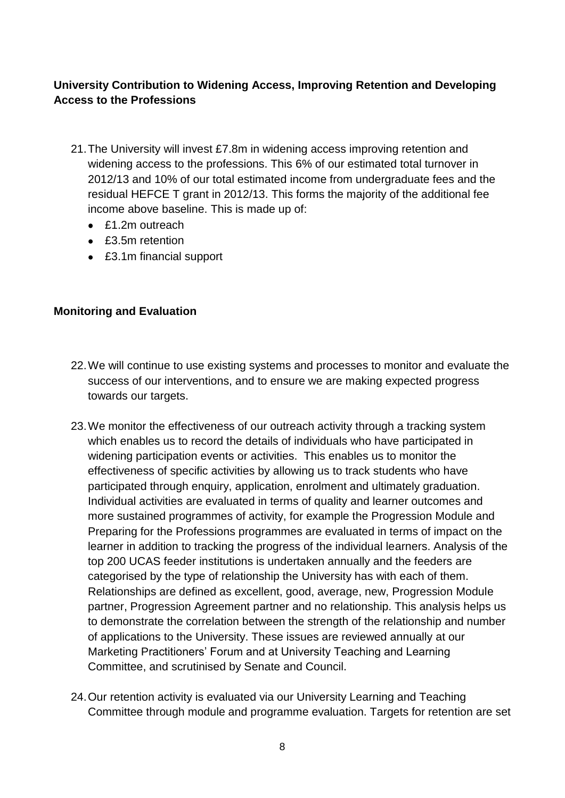# **University Contribution to Widening Access, Improving Retention and Developing Access to the Professions**

- 21.The University will invest £7.8m in widening access improving retention and widening access to the professions. This 6% of our estimated total turnover in 2012/13 and 10% of our total estimated income from undergraduate fees and the residual HEFCE T grant in 2012/13. This forms the majority of the additional fee income above baseline. This is made up of:
	- £1.2m outreach
	- £3.5m retention
	- £3.1m financial support

# **Monitoring and Evaluation**

- 22.We will continue to use existing systems and processes to monitor and evaluate the success of our interventions, and to ensure we are making expected progress towards our targets.
- 23.We monitor the effectiveness of our outreach activity through a tracking system which enables us to record the details of individuals who have participated in widening participation events or activities. This enables us to monitor the effectiveness of specific activities by allowing us to track students who have participated through enquiry, application, enrolment and ultimately graduation. Individual activities are evaluated in terms of quality and learner outcomes and more sustained programmes of activity, for example the Progression Module and Preparing for the Professions programmes are evaluated in terms of impact on the learner in addition to tracking the progress of the individual learners. Analysis of the top 200 UCAS feeder institutions is undertaken annually and the feeders are categorised by the type of relationship the University has with each of them. Relationships are defined as excellent, good, average, new, Progression Module partner, Progression Agreement partner and no relationship. This analysis helps us to demonstrate the correlation between the strength of the relationship and number of applications to the University. These issues are reviewed annually at our Marketing Practitioners" Forum and at University Teaching and Learning Committee, and scrutinised by Senate and Council.
- 24.Our retention activity is evaluated via our University Learning and Teaching Committee through module and programme evaluation. Targets for retention are set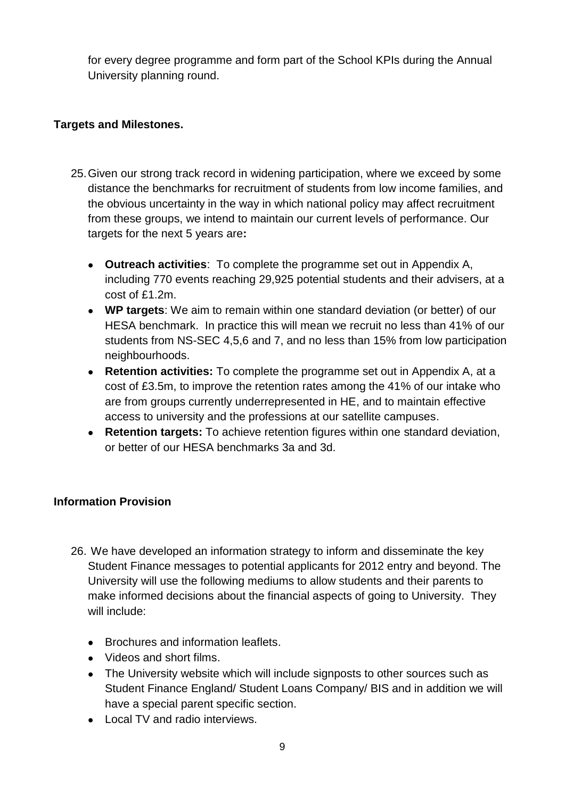for every degree programme and form part of the School KPIs during the Annual University planning round.

## **Targets and Milestones.**

- 25.Given our strong track record in widening participation, where we exceed by some distance the benchmarks for recruitment of students from low income families, and the obvious uncertainty in the way in which national policy may affect recruitment from these groups, we intend to maintain our current levels of performance. Our targets for the next 5 years are**:**
	- **Outreach activities**: To complete the programme set out in Appendix A, including 770 events reaching 29,925 potential students and their advisers, at a cost of £1.2m.
	- **WP targets**: We aim to remain within one standard deviation (or better) of our HESA benchmark. In practice this will mean we recruit no less than 41% of our students from NS-SEC 4,5,6 and 7, and no less than 15% from low participation neighbourhoods.
	- **Retention activities:** To complete the programme set out in Appendix A, at a cost of £3.5m, to improve the retention rates among the 41% of our intake who are from groups currently underrepresented in HE, and to maintain effective access to university and the professions at our satellite campuses.
	- **Retention targets:** To achieve retention figures within one standard deviation, or better of our HESA benchmarks 3a and 3d.

### **Information Provision**

- 26. We have developed an information strategy to inform and disseminate the key Student Finance messages to potential applicants for 2012 entry and beyond. The University will use the following mediums to allow students and their parents to make informed decisions about the financial aspects of going to University. They will include:
	- Brochures and information leaflets.
	- Videos and short films.
	- The University website which will include signposts to other sources such as Student Finance England/ Student Loans Company/ BIS and in addition we will have a special parent specific section.
	- Local TV and radio interviews.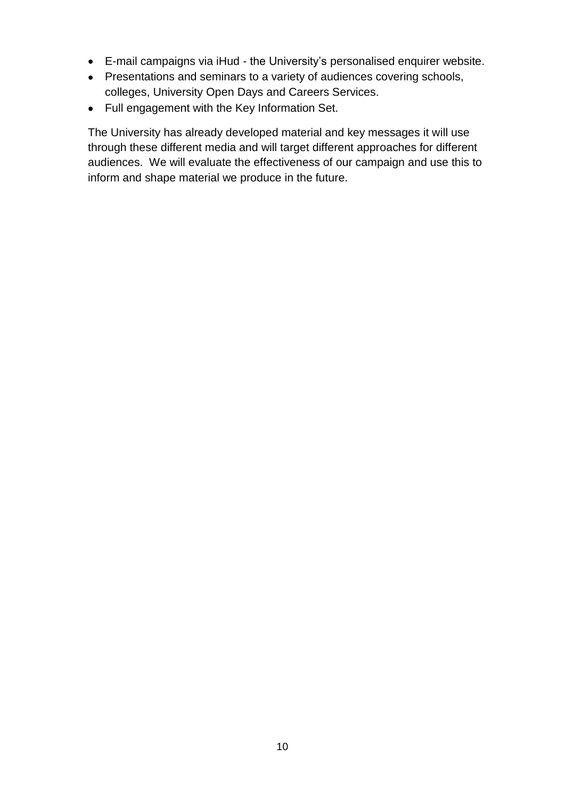- E-mail campaigns via iHud the University"s personalised enquirer website.
- Presentations and seminars to a variety of audiences covering schools, colleges, University Open Days and Careers Services.
- Full engagement with the Key Information Set.

The University has already developed material and key messages it will use through these different media and will target different approaches for different audiences. We will evaluate the effectiveness of our campaign and use this to inform and shape material we produce in the future.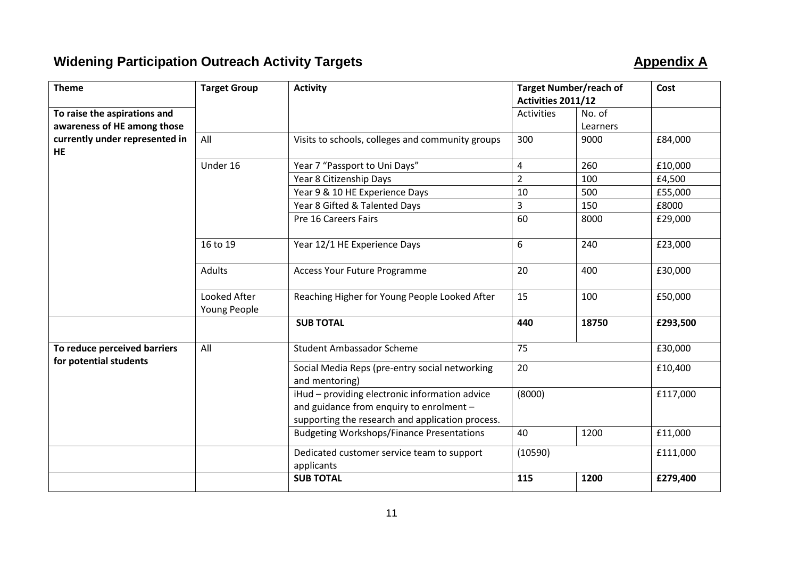# **Widening Participation Outreach Activity Targets Appendix A**

| <b>Theme</b>                   | <b>Target Group</b>          | <b>Activity</b>                                                                                                                                | <b>Target Number/reach of</b> |          | Cost     |
|--------------------------------|------------------------------|------------------------------------------------------------------------------------------------------------------------------------------------|-------------------------------|----------|----------|
|                                |                              |                                                                                                                                                | Activities 2011/12            |          |          |
| To raise the aspirations and   |                              |                                                                                                                                                | Activities                    | No. of   |          |
| awareness of HE among those    |                              |                                                                                                                                                |                               | Learners |          |
| currently under represented in | All                          | Visits to schools, colleges and community groups                                                                                               | 300                           | 9000     | £84,000  |
| <b>HE</b>                      |                              |                                                                                                                                                |                               |          |          |
|                                | Under 16                     | Year 7 "Passport to Uni Days"                                                                                                                  | $\overline{\mathbf{4}}$       | 260      | £10,000  |
|                                |                              | Year 8 Citizenship Days                                                                                                                        | $\overline{2}$                | 100      | £4,500   |
|                                |                              | Year 9 & 10 HE Experience Days                                                                                                                 | 10                            | 500      | £55,000  |
|                                |                              | Year 8 Gifted & Talented Days                                                                                                                  | 3                             | 150      | £8000    |
|                                |                              | Pre 16 Careers Fairs                                                                                                                           | 60                            | 8000     | £29,000  |
|                                | 16 to 19                     | Year 12/1 HE Experience Days                                                                                                                   | 6                             | 240      | £23,000  |
|                                | <b>Adults</b>                | <b>Access Your Future Programme</b>                                                                                                            | 20                            | 400      | £30,000  |
|                                | Looked After<br>Young People | Reaching Higher for Young People Looked After                                                                                                  | 15                            | 100      | £50,000  |
|                                |                              | <b>SUB TOTAL</b>                                                                                                                               | 440                           | 18750    | £293,500 |
| To reduce perceived barriers   | All                          | <b>Student Ambassador Scheme</b>                                                                                                               | 75                            |          | £30,000  |
| for potential students         |                              | Social Media Reps (pre-entry social networking<br>and mentoring)                                                                               | 20                            |          | £10,400  |
|                                |                              | iHud - providing electronic information advice<br>and guidance from enquiry to enrolment -<br>supporting the research and application process. | (8000)                        |          | £117,000 |
|                                |                              | <b>Budgeting Workshops/Finance Presentations</b>                                                                                               | 40                            | 1200     | £11,000  |
|                                |                              | Dedicated customer service team to support<br>applicants                                                                                       | (10590)                       |          | £111,000 |
|                                |                              | <b>SUB TOTAL</b>                                                                                                                               | 115                           | 1200     | £279,400 |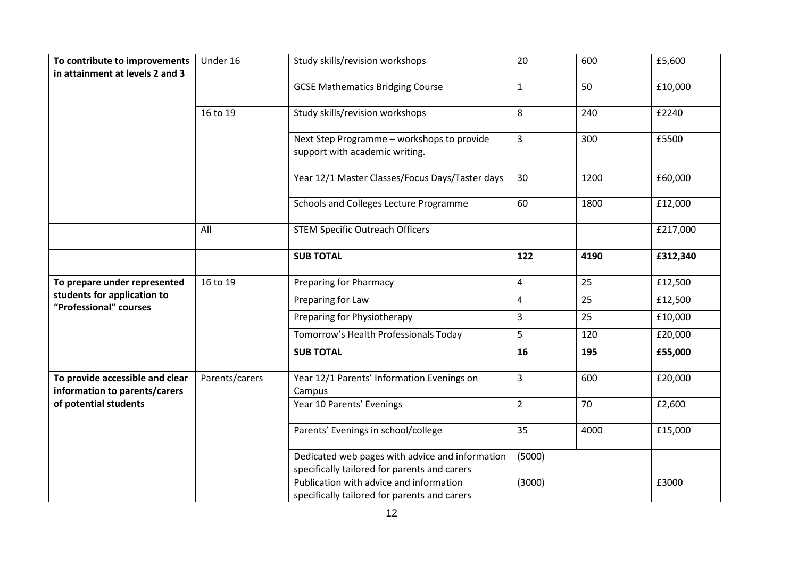| To contribute to improvements                                    | Under 16       | Study skills/revision workshops                                                                 | 20             | 600  | £5,600   |
|------------------------------------------------------------------|----------------|-------------------------------------------------------------------------------------------------|----------------|------|----------|
| in attainment at levels 2 and 3                                  |                |                                                                                                 |                |      |          |
|                                                                  |                | <b>GCSE Mathematics Bridging Course</b>                                                         | $\mathbf{1}$   | 50   | £10,000  |
|                                                                  | 16 to 19       | Study skills/revision workshops                                                                 | 8              | 240  | £2240    |
|                                                                  |                | Next Step Programme - workshops to provide<br>support with academic writing.                    | $\overline{3}$ | 300  | £5500    |
|                                                                  |                | Year 12/1 Master Classes/Focus Days/Taster days                                                 | 30             | 1200 | £60,000  |
|                                                                  |                | Schools and Colleges Lecture Programme                                                          | 60             | 1800 | £12,000  |
|                                                                  | All            | <b>STEM Specific Outreach Officers</b>                                                          |                |      | £217,000 |
|                                                                  |                | <b>SUB TOTAL</b>                                                                                | 122            | 4190 | £312,340 |
| To prepare under represented                                     | 16 to 19       | <b>Preparing for Pharmacy</b>                                                                   | 4              | 25   | £12,500  |
| students for application to<br>"Professional" courses            |                | Preparing for Law                                                                               | 4              | 25   | £12,500  |
|                                                                  |                | Preparing for Physiotherapy                                                                     | 3              | 25   | £10,000  |
|                                                                  |                | Tomorrow's Health Professionals Today                                                           | 5              | 120  | £20,000  |
|                                                                  |                | <b>SUB TOTAL</b>                                                                                | 16             | 195  | £55,000  |
| To provide accessible and clear<br>information to parents/carers | Parents/carers | Year 12/1 Parents' Information Evenings on<br>Campus                                            | $\mathbf{3}$   | 600  | £20,000  |
| of potential students                                            |                | Year 10 Parents' Evenings                                                                       | $\overline{2}$ | 70   | £2,600   |
|                                                                  |                | Parents' Evenings in school/college                                                             | 35             | 4000 | £15,000  |
|                                                                  |                | Dedicated web pages with advice and information<br>specifically tailored for parents and carers | (5000)         |      |          |
|                                                                  |                | Publication with advice and information<br>specifically tailored for parents and carers         | (3000)         |      | £3000    |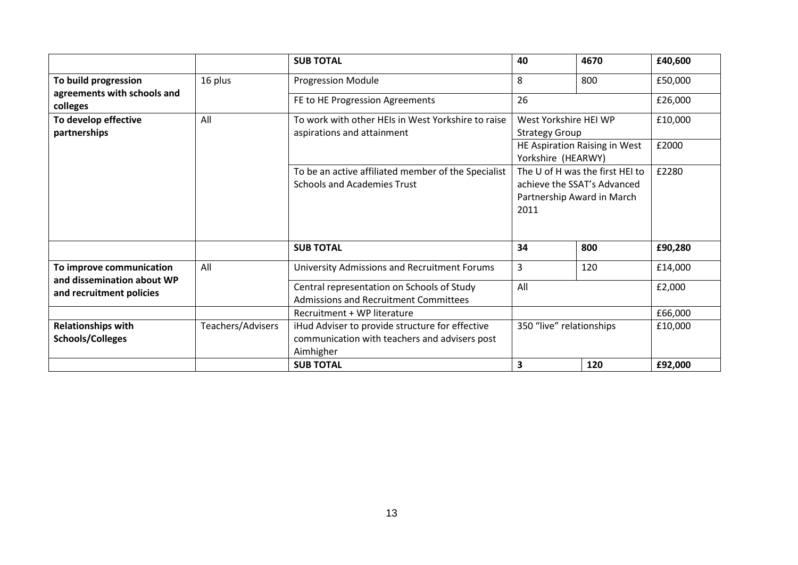|                                                        |                   | <b>SUB TOTAL</b>                                                                                              | 40                                                                                                                                                                            | 4670 | £40,600 |
|--------------------------------------------------------|-------------------|---------------------------------------------------------------------------------------------------------------|-------------------------------------------------------------------------------------------------------------------------------------------------------------------------------|------|---------|
| To build progression                                   | 16 plus           | <b>Progression Module</b>                                                                                     | 8                                                                                                                                                                             | 800  | £50,000 |
| agreements with schools and<br>colleges                |                   | FE to HE Progression Agreements                                                                               | 26                                                                                                                                                                            |      | £26,000 |
| To develop effective<br>partnerships                   | All               | To work with other HEIs in West Yorkshire to raise<br>aspirations and attainment                              | West Yorkshire HEI WP<br><b>Strategy Group</b>                                                                                                                                |      | £10,000 |
|                                                        |                   |                                                                                                               | HE Aspiration Raising in West<br>£2000<br>Yorkshire (HEARWY)<br>The U of H was the first HEI to<br>£2280<br>achieve the SSAT's Advanced<br>Partnership Award in March<br>2011 |      |         |
|                                                        |                   | To be an active affiliated member of the Specialist<br><b>Schools and Academies Trust</b>                     |                                                                                                                                                                               |      |         |
|                                                        |                   | <b>SUB TOTAL</b>                                                                                              | 34                                                                                                                                                                            | 800  | £90,280 |
| To improve communication                               | All               | University Admissions and Recruitment Forums                                                                  | 3                                                                                                                                                                             | 120  | £14,000 |
| and dissemination about WP<br>and recruitment policies |                   | Central representation on Schools of Study<br>Admissions and Recruitment Committees                           | All                                                                                                                                                                           |      | £2,000  |
|                                                        |                   | Recruitment + WP literature                                                                                   |                                                                                                                                                                               |      | £66,000 |
| <b>Relationships with</b><br>Schools/Colleges          | Teachers/Advisers | iHud Adviser to provide structure for effective<br>communication with teachers and advisers post<br>Aimhigher | 350 "live" relationships<br>£10,000                                                                                                                                           |      |         |
|                                                        |                   | <b>SUB TOTAL</b>                                                                                              | 3                                                                                                                                                                             | 120  | £92,000 |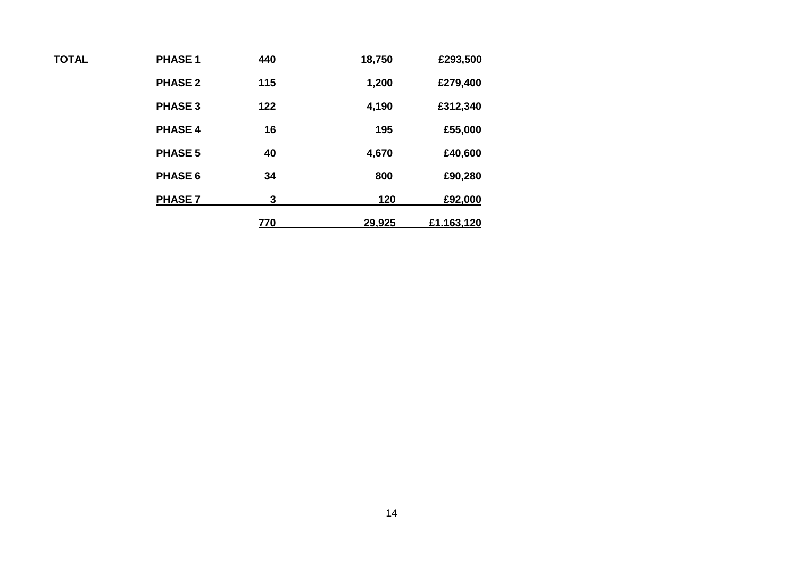| £293,500 | 18,750 | 440 | <b>PHASE 1</b> | <b>TOTAL</b> |
|----------|--------|-----|----------------|--------------|
| £279,400 | 1,200  | 115 | <b>PHASE 2</b> |              |
| £312,340 | 4,190  | 122 | <b>PHASE 3</b> |              |
| £55,000  | 195    | 16  | <b>PHASE 4</b> |              |

PHASE 5 40 4,670 £40,600

PHASE 6 34 800 £90,280

PHASE 7 3 120 £92,000

**770 29,925 £1.163,120**

14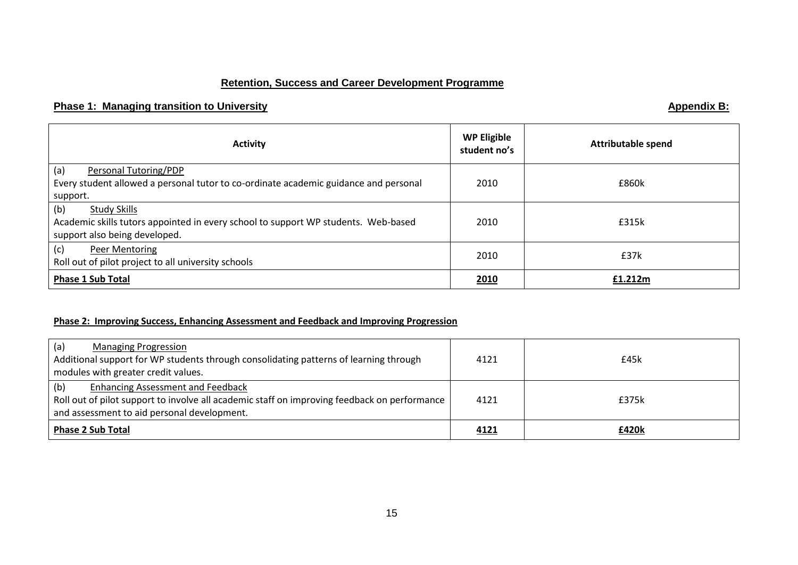### **Retention, Success and Career Development Programme**

### **Phase 1: Managing transition to University Appendix B: Appendix B: Appendix B: Appendix B: Appendix B: Appendix B: Appendix B: Appendix B: Appendix B: Appendix B: Appendix B: Appendix B: Appendix**

| <b>Activity</b>                                                                                                                                   | <b>WP Eligible</b><br>student no's | <b>Attributable spend</b> |
|---------------------------------------------------------------------------------------------------------------------------------------------------|------------------------------------|---------------------------|
| (a)<br>Personal Tutoring/PDP<br>Every student allowed a personal tutor to co-ordinate academic guidance and personal<br>support.                  | 2010                               | £860k                     |
| (b)<br><b>Study Skills</b><br>Academic skills tutors appointed in every school to support WP students. Web-based<br>support also being developed. | 2010                               | £315k                     |
| (c)<br>Peer Mentoring<br>Roll out of pilot project to all university schools                                                                      | 2010                               | £37k                      |
| <b>Phase 1 Sub Total</b>                                                                                                                          | 2010                               | £1.212m                   |

### **Phase 2: Improving Success, Enhancing Assessment and Feedback and Improving Progression**

| (a)<br><b>Managing Progression</b>                                                           |      |       |
|----------------------------------------------------------------------------------------------|------|-------|
| Additional support for WP students through consolidating patterns of learning through        | 4121 | £45k  |
| modules with greater credit values.                                                          |      |       |
| (b)<br><b>Enhancing Assessment and Feedback</b>                                              |      |       |
| Roll out of pilot support to involve all academic staff on improving feedback on performance | 4121 | £375k |
| and assessment to aid personal development.                                                  |      |       |
| <b>Phase 2 Sub Total</b>                                                                     | 4121 | £420k |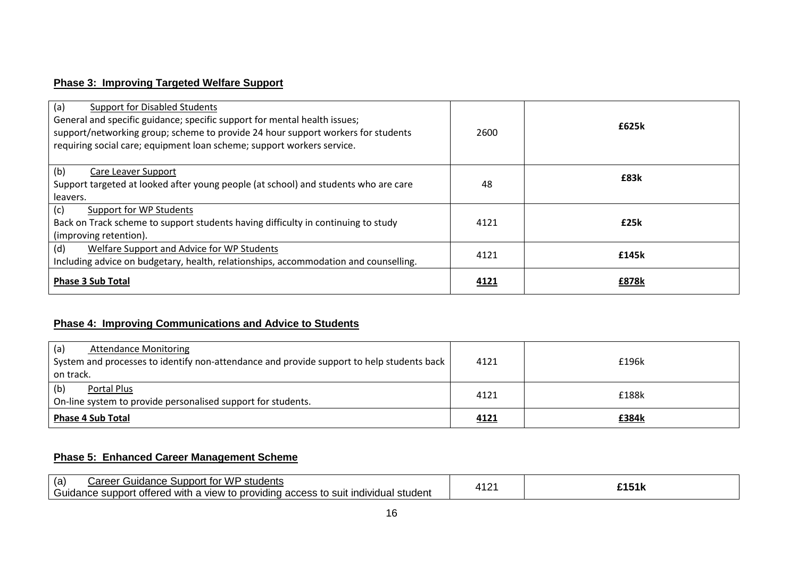### **Phase 3: Improving Targeted Welfare Support**

| (a)<br><b>Support for Disabled Students</b><br>General and specific guidance; specific support for mental health issues;<br>support/networking group; scheme to provide 24 hour support workers for students<br>requiring social care; equipment loan scheme; support workers service. | 2600 | £625k |
|----------------------------------------------------------------------------------------------------------------------------------------------------------------------------------------------------------------------------------------------------------------------------------------|------|-------|
| (b)<br>Care Leaver Support<br>Support targeted at looked after young people (at school) and students who are care<br>leavers.                                                                                                                                                          | 48   | £83k  |
| (c)<br>Support for WP Students<br>Back on Track scheme to support students having difficulty in continuing to study<br>(improving retention).                                                                                                                                          | 4121 | £25k  |
| (d)<br>Welfare Support and Advice for WP Students<br>Including advice on budgetary, health, relationships, accommodation and counselling.                                                                                                                                              | 4121 | £145k |
| <b>Phase 3 Sub Total</b>                                                                                                                                                                                                                                                               | 4121 | £878k |

# **Phase 4: Improving Communications and Advice to Students**

| (a)<br><b>Attendance Monitoring</b><br>System and processes to identify non-attendance and provide support to help students back | 4121 | £196k |
|----------------------------------------------------------------------------------------------------------------------------------|------|-------|
| on track.                                                                                                                        |      |       |
| (b)<br>Portal Plus<br>On-line system to provide personalised support for students.                                               | 4121 | £188k |
| <b>Phase 4 Sub Total</b>                                                                                                         | 4121 | £384k |

### **Phase 5: Enhanced Career Management Scheme**

| <b>Guidance Support for WP</b><br>(a)<br>`students<br>' areer۔                                                      | .<br>$\overline{ }$ | <b>CAEA</b> |
|---------------------------------------------------------------------------------------------------------------------|---------------------|-------------|
| .<br>o providing access to :<br>. offered with<br>. support<br>ו suit individual student<br>Guidance<br>i a view to |                     | んしいい        |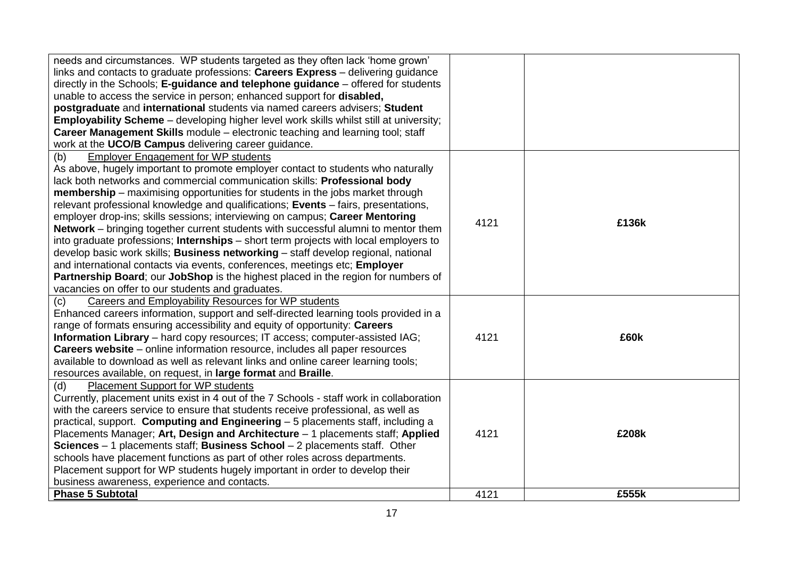| needs and circumstances. WP students targeted as they often lack 'home grown'<br>links and contacts to graduate professions: Careers Express - delivering guidance<br>directly in the Schools; E-guidance and telephone guidance - offered for students<br>unable to access the service in person; enhanced support for disabled,<br>postgraduate and international students via named careers advisers; Student<br><b>Employability Scheme</b> - developing higher level work skills whilst still at university;<br>Career Management Skills module – electronic teaching and learning tool; staff<br>work at the UCO/B Campus delivering career guidance.                                                                                                                                                                               |      |       |
|-------------------------------------------------------------------------------------------------------------------------------------------------------------------------------------------------------------------------------------------------------------------------------------------------------------------------------------------------------------------------------------------------------------------------------------------------------------------------------------------------------------------------------------------------------------------------------------------------------------------------------------------------------------------------------------------------------------------------------------------------------------------------------------------------------------------------------------------|------|-------|
| <b>Employer Engagement for WP students</b><br>(b)<br>As above, hugely important to promote employer contact to students who naturally                                                                                                                                                                                                                                                                                                                                                                                                                                                                                                                                                                                                                                                                                                     |      |       |
| lack both networks and commercial communication skills: Professional body<br><b>membership</b> – maximising opportunities for students in the jobs market through<br>relevant professional knowledge and qualifications; Events – fairs, presentations,<br>employer drop-ins; skills sessions; interviewing on campus; Career Mentoring<br><b>Network</b> – bringing together current students with successful alumni to mentor them<br>into graduate professions; Internships - short term projects with local employers to<br>develop basic work skills; Business networking - staff develop regional, national<br>and international contacts via events, conferences, meetings etc; Employer<br>Partnership Board; our JobShop is the highest placed in the region for numbers of<br>vacancies on offer to our students and graduates. | 4121 | £136k |
| <b>Careers and Employability Resources for WP students</b><br>(c)<br>Enhanced careers information, support and self-directed learning tools provided in a<br>range of formats ensuring accessibility and equity of opportunity: Careers<br><b>Information Library</b> – hard copy resources; IT access; computer-assisted IAG;<br>Careers website - online information resource, includes all paper resources<br>available to download as well as relevant links and online career learning tools;<br>resources available, on request, in large format and Braille.                                                                                                                                                                                                                                                                       | 4121 | £60k  |
| <b>Placement Support for WP students</b><br>(d)<br>Currently, placement units exist in 4 out of the 7 Schools - staff work in collaboration<br>with the careers service to ensure that students receive professional, as well as<br>practical, support. Computing and Engineering - 5 placements staff, including a<br>Placements Manager; Art, Design and Architecture - 1 placements staff; Applied<br>Sciences $-1$ placements staff; Business School $-2$ placements staff. Other<br>schools have placement functions as part of other roles across departments.<br>Placement support for WP students hugely important in order to develop their<br>business awareness, experience and contacts.                                                                                                                                      | 4121 | £208k |
| <b>Phase 5 Subtotal</b>                                                                                                                                                                                                                                                                                                                                                                                                                                                                                                                                                                                                                                                                                                                                                                                                                   | 4121 | £555k |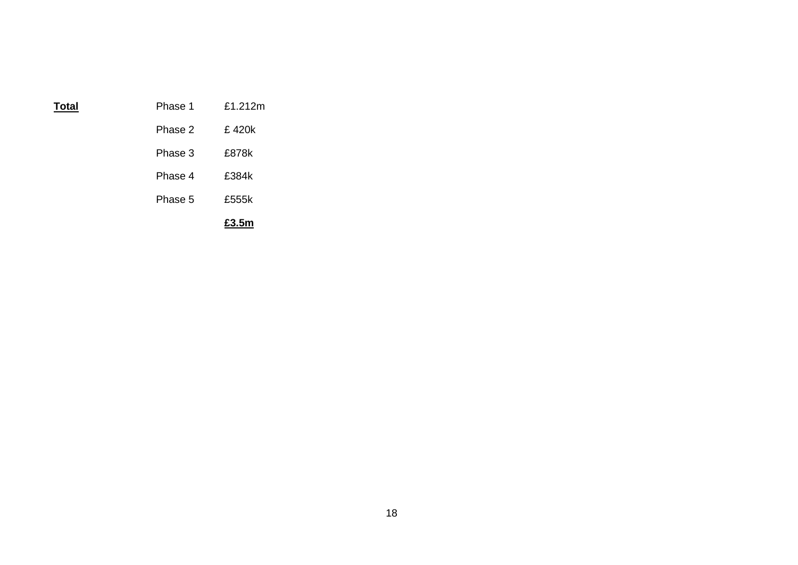|       |         | £3.5m   |
|-------|---------|---------|
|       | Phase 5 | £555k   |
|       | Phase 4 | £384k   |
|       | Phase 3 | £878k   |
|       | Phase 2 | £420k   |
| Total | Phase 1 | £1.212m |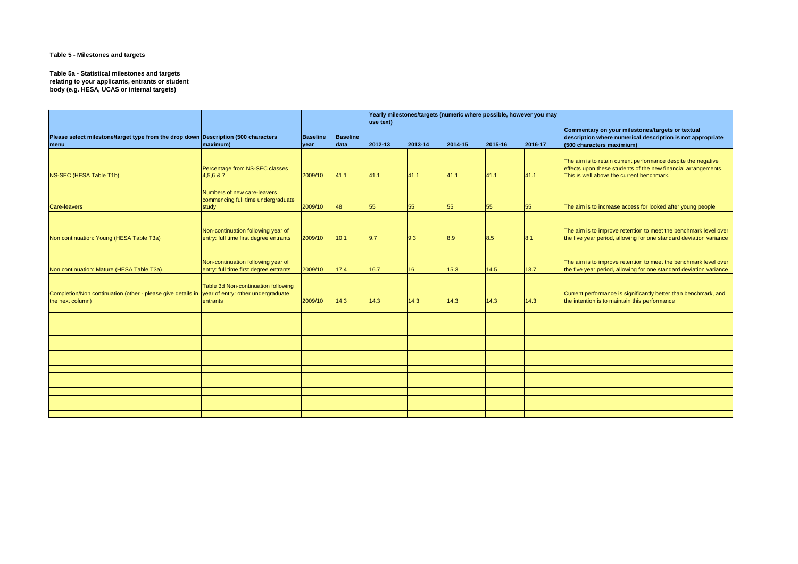### **Table 5 - Milestones and targets**

**Table 5a - Statistical milestones and targets relating to your applicants, entrants or student body (e.g. HESA, UCAS or internal targets)**

|                                                                                                                    |                                                                              |                         |                         | Yearly milestones/targets (numeric where possible, however you may<br>$ $ use text $ $ |         |         |         | Commentary on your milestones/targets or textual |                                                                                                                                                                              |
|--------------------------------------------------------------------------------------------------------------------|------------------------------------------------------------------------------|-------------------------|-------------------------|----------------------------------------------------------------------------------------|---------|---------|---------|--------------------------------------------------|------------------------------------------------------------------------------------------------------------------------------------------------------------------------------|
| Please select milestone/target type from the drop down Description (500 characters<br> menu                        | maximum)                                                                     | <b>Baseline</b><br>year | <b>Baseline</b><br>data | $ 2012 - 13 $                                                                          | 2013-14 | 2014-15 | 2015-16 | 2016-17                                          | description where numerical description is not appropriate<br>(500 characters maximium)                                                                                      |
| NS-SEC (HESA Table T1b)                                                                                            | Percentage from NS-SEC classes<br>4,5,6 & 7                                  | 2009/10                 | 41.1                    | 41.1                                                                                   | 41.1    | 41.1    | 41.1    | 41.1                                             | The aim is to retain current performance despite the negative<br>effects upon these students of the new financial arrangements.<br>This is well above the current benchmark. |
| Care-leavers                                                                                                       | Numbers of new care-leavers<br>commencing full time undergraduate<br>study   | 2009/10                 | 48                      | 55                                                                                     | 55      | 55      | 55      | 55                                               | The aim is to increase access for looked after young people                                                                                                                  |
| Non continuation: Young (HESA Table T3a)                                                                           | Non-continuation following year of<br>entry: full time first degree entrants | 2009/10                 | 10.1                    | 9.7                                                                                    | 9.3     | 8.9     | 8.5     | 8.1                                              | The aim is to improve retention to meet the benchmark level over<br>the five year period, allowing for one standard deviation variance                                       |
| Non continuation: Mature (HESA Table T3a)                                                                          | Non-continuation following year of<br>entry: full time first degree entrants | 2009/10                 | 17.4                    | 16.7                                                                                   | 16      | 15.3    | 14.5    | 13.7                                             | The aim is to improve retention to meet the benchmark level over<br>the five year period, allowing for one standard deviation variance                                       |
| Completion/Non continuation (other - please give details in vear of entry: other undergraduate<br>the next column) | Table 3d Non-continuation following<br>entrants                              | 2009/10                 | 14.3                    | 14.3                                                                                   | 14.3    | 14.3    | 14.3    | 14.3                                             | Current performance is significantly better than benchmark, and<br>the intention is to maintain this performance                                                             |
|                                                                                                                    |                                                                              |                         |                         |                                                                                        |         |         |         |                                                  |                                                                                                                                                                              |
|                                                                                                                    |                                                                              |                         |                         |                                                                                        |         |         |         |                                                  |                                                                                                                                                                              |
|                                                                                                                    |                                                                              |                         |                         |                                                                                        |         |         |         |                                                  |                                                                                                                                                                              |
|                                                                                                                    |                                                                              |                         |                         |                                                                                        |         |         |         |                                                  |                                                                                                                                                                              |
|                                                                                                                    |                                                                              |                         |                         |                                                                                        |         |         |         |                                                  |                                                                                                                                                                              |
|                                                                                                                    |                                                                              |                         |                         |                                                                                        |         |         |         |                                                  |                                                                                                                                                                              |
|                                                                                                                    |                                                                              |                         |                         |                                                                                        |         |         |         |                                                  |                                                                                                                                                                              |
|                                                                                                                    |                                                                              |                         |                         |                                                                                        |         |         |         |                                                  |                                                                                                                                                                              |
|                                                                                                                    |                                                                              |                         |                         |                                                                                        |         |         |         |                                                  |                                                                                                                                                                              |
|                                                                                                                    |                                                                              |                         |                         |                                                                                        |         |         |         |                                                  |                                                                                                                                                                              |
|                                                                                                                    |                                                                              |                         |                         |                                                                                        |         |         |         |                                                  |                                                                                                                                                                              |